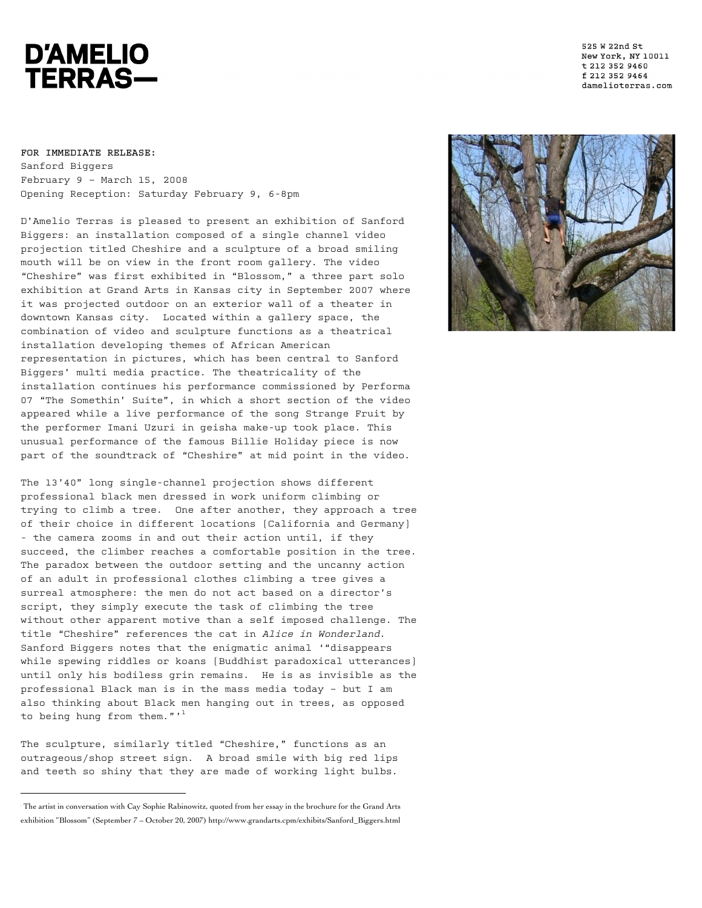## **D'AMELIO TERRAS-**

525 W 22nd St New York, NY 10011 t 212 352 9460 f 212 352 9464 damelioterras.com

## **FOR IMMEDIATE RELEASE:**

 $\overline{a}$ 

Sanford Biggers February 9 – March 15, 2008 Opening Reception: Saturday February 9, 6-8pm

D'Amelio Terras is pleased to present an exhibition of Sanford Biggers: an installation composed of a single channel video projection titled Cheshire and a sculpture of a broad smiling mouth will be on view in the front room gallery. The video "Cheshire" was first exhibited in "Blossom," a three part solo exhibition at Grand Arts in Kansas city in September 2007 where it was projected outdoor on an exterior wall of a theater in downtown Kansas city. Located within a gallery space, the combination of video and sculpture functions as a theatrical installation developing themes of African American representation in pictures, which has been central to Sanford Biggers' multi media practice. The theatricality of the installation continues his performance commissioned by Performa 07 "The Somethin' Suite", in which a short section of the video appeared while a live performance of the song Strange Fruit by the performer Imani Uzuri in geisha make-up took place. This unusual performance of the famous Billie Holiday piece is now part of the soundtrack of "Cheshire" at mid point in the video.

The 13'40" long single-channel projection shows different professional black men dressed in work uniform climbing or trying to climb a tree. One after another, they approach a tree of their choice in different locations (California and Germany) - the camera zooms in and out their action until, if they succeed, the climber reaches a comfortable position in the tree. The paradox between the outdoor setting and the uncanny action of an adult in professional clothes climbing a tree gives a surreal atmosphere: the men do not act based on a director's script, they simply execute the task of climbing the tree without other apparent motive than a self imposed challenge. The title "Cheshire" references the cat in Alice in Wonderland. Sanford Biggers notes that the enigmatic animal '"disappears while spewing riddles or koans (Buddhist paradoxical utterances) until only his bodiless grin remains. He is as invisible as the professional Black man is in the mass media today – but I am also thinking about Black men hanging out in trees, as opposed to being hung from them."'<sup>1</sup>

The sculpture, similarly titled "Cheshire," functions as an outrageous/shop street sign. A broad smile with big red lips and teeth so shiny that they are made of working light bulbs.



<sup>1</sup> The artist in conversation with Cay Sophie Rabinowitz, quoted from her essay in the brochure for the Grand Arts exhibition "Blossom" (September 7 – October 20, 2007) http://www.grandarts.cpm/exhibits/Sanford\_Biggers.html